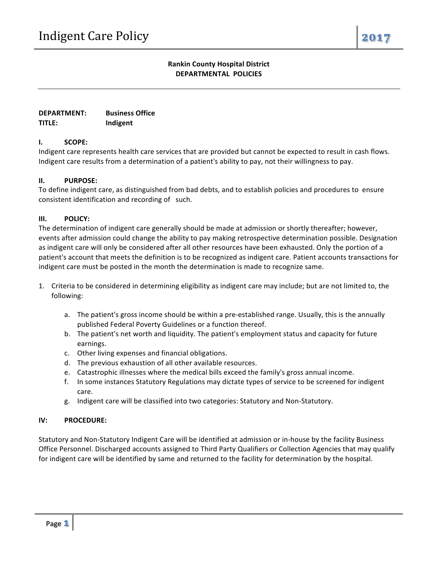# **Rankin County Hospital District DEPARTMENTAL POLICIES**

**DEPARTMENT: TITLE: Business Office Indigent**

## **I. SCOPE:**

Indigent care represents health care services that are provided but cannot be expected to result in cash flows. Indigent care results from a determination of a patient's ability to pay, not their willingness to pay.

### **II. PURPOSE:**

To define indigent care, as distinguished from bad debts, and to establish policies and procedures to ensure consistent identification and recording of such.

### **III. POLICY:**

The determination of indigent care generally should be made at admission or shortly thereafter; however, events after admission could change the ability to pay making retrospective determination possible. Designation as indigent care will only be considered after all other resources have been exhausted. Only the portion of a patient's account that meets the definition is to be recognized as indigent care. Patient accounts transactions for indigent care must be posted in the month the determination is made to recognize same.

- 1. Criteria to be considered in determining eligibility as indigent care may include; but are not limited to, the following:
	- a. The patient's gross income should be within a pre-established range. Usually, this is the annually published Federal Poverty Guidelines or a function thereof.
	- b. The patient's net worth and liquidity. The patient's employment status and capacity for future earnings.
	- c. Other living expenses and financial obligations.
	- d. The previous exhaustion of all other available resources.
	- e. Catastrophic illnesses where the medical bills exceed the family's gross annual income.
	- f. In some instances Statutory Regulations may dictate types of service to be screened for indigent care.
	- g. Indigent care will be classified into two categories: Statutory and Non-Statutory.

#### **IV: PROCEDURE:**

Statutory and Non-Statutory Indigent Care will be identified at admission or in-house by the facility Business Office Personnel. Discharged accounts assigned to Third Party Qualifiers or Collection Agencies that may qualify for indigent care will be identified by same and returned to the facility for determination by the hospital.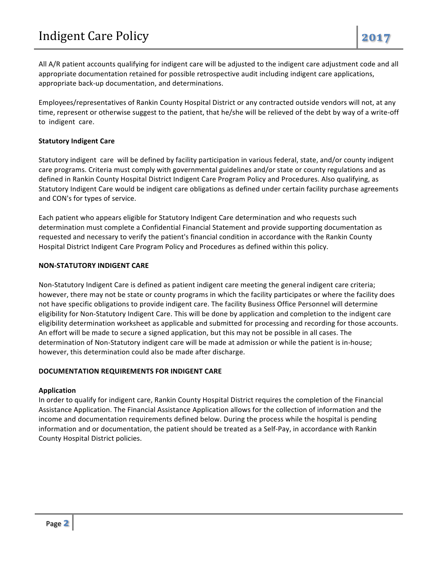All A/R patient accounts qualifying for indigent care will be adjusted to the indigent care adjustment code and all appropriate documentation retained for possible retrospective audit including indigent care applications, appropriate back-up documentation, and determinations.

Employees/representatives of Rankin County Hospital District or any contracted outside vendors will not, at any time, represent or otherwise suggest to the patient, that he/she will be relieved of the debt by way of a write-off to indigent care.

### **Statutory Indigent Care**

Statutory indigent care will be defined by facility participation in various federal, state, and/or county indigent care programs. Criteria must comply with governmental guidelines and/or state or county regulations and as defined in Rankin County Hospital District Indigent Care Program Policy and Procedures. Also qualifying, as Statutory Indigent Care would be indigent care obligations as defined under certain facility purchase agreements and CON's for types of service.

Each patient who appears eligible for Statutory Indigent Care determination and who requests such determination must complete a Confidential Financial Statement and provide supporting documentation as requested and necessary to verify the patient's financial condition in accordance with the Rankin County Hospital District Indigent Care Program Policy and Procedures as defined within this policy.

### **NON-STATUTORY INDIGENT CARE**

Non-Statutory Indigent Care is defined as patient indigent care meeting the general indigent care criteria; however, there may not be state or county programs in which the facility participates or where the facility does not have specific obligations to provide indigent care. The facility Business Office Personnel will determine eligibility for Non-Statutory Indigent Care. This will be done by application and completion to the indigent care eligibility determination worksheet as applicable and submitted for processing and recording for those accounts. An effort will be made to secure a signed application, but this may not be possible in all cases. The determination of Non-Statutory indigent care will be made at admission or while the patient is in-house; however, this determination could also be made after discharge.

## **DOCUMENTATION REQUIREMENTS FOR INDIGENT CARE**

## **Application**

In order to qualify for indigent care, Rankin County Hospital District requires the completion of the Financial Assistance Application. The Financial Assistance Application allows for the collection of information and the income and documentation requirements defined below. During the process while the hospital is pending information and or documentation, the patient should be treated as a Self-Pay, in accordance with Rankin County Hospital District policies.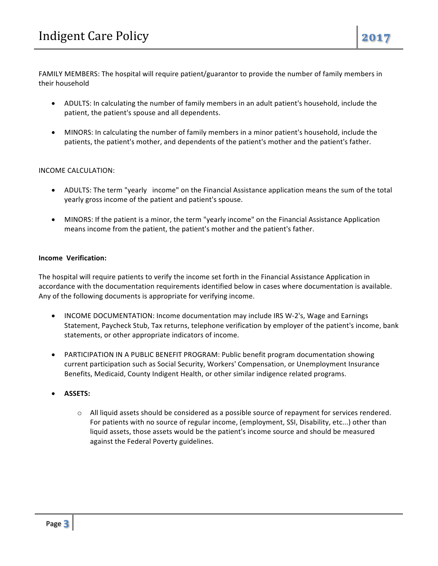FAMILY MEMBERS: The hospital will require patient/guarantor to provide the number of family members in their household

- ADULTS: In calculating the number of family members in an adult patient's household, include the patient, the patient's spouse and all dependents.
- MINORS: In calculating the number of family members in a minor patient's household, include the patients, the patient's mother, and dependents of the patient's mother and the patient's father.

### INCOME CALCULATION:

- ADULTS: The term "yearly income" on the Financial Assistance application means the sum of the total yearly gross income of the patient and patient's spouse.
- MINORS: If the patient is a minor, the term "yearly income" on the Financial Assistance Application means income from the patient, the patient's mother and the patient's father.

### **Income Verification:**

The hospital will require patients to verify the income set forth in the Financial Assistance Application in accordance with the documentation requirements identified below in cases where documentation is available. Any of the following documents is appropriate for verifying income.

- INCOME DOCUMENTATION: Income documentation may include IRS W-2's, Wage and Earnings Statement, Paycheck Stub, Tax returns, telephone verification by employer of the patient's income, bank statements, or other appropriate indicators of income.
- PARTICIPATION IN A PUBLIC BENEFIT PROGRAM: Public benefit program documentation showing current participation such as Social Security, Workers' Compensation, or Unemployment Insurance Benefits, Medicaid, County Indigent Health, or other similar indigence related programs.
- **ASSETS:**
	- $\circ$  All liquid assets should be considered as a possible source of repayment for services rendered. For patients with no source of regular income, (employment, SSI, Disability, etc...) other than liquid assets, those assets would be the patient's income source and should be measured against the Federal Poverty guidelines.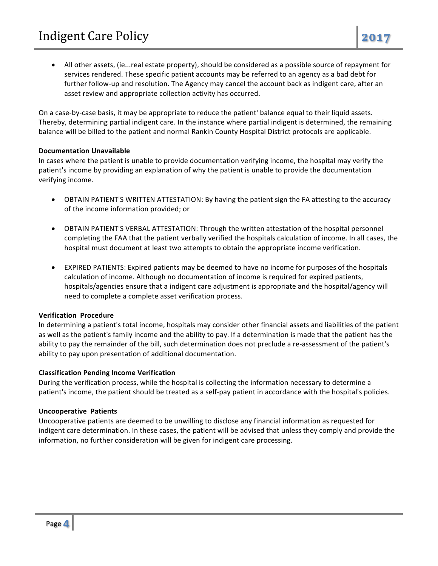• All other assets, (ie...real estate property), should be considered as a possible source of repayment for services rendered. These specific patient accounts may be referred to an agency as a bad debt for further follow-up and resolution. The Agency may cancel the account back as indigent care, after an asset review and appropriate collection activity has occurred.

On a case-by-case basis, it may be appropriate to reduce the patient' balance equal to their liquid assets. Thereby, determining partial indigent care. In the instance where partial indigent is determined, the remaining balance will be billed to the patient and normal Rankin County Hospital District protocols are applicable.

### **Documentation Unavailable**

In cases where the patient is unable to provide documentation verifying income, the hospital may verify the patient's income by providing an explanation of why the patient is unable to provide the documentation verifying income.

- OBTAIN PATIENT'S WRITTEN ATTESTATION: By having the patient sign the FA attesting to the accuracy of the income information provided; or
- OBTAIN PATIENT'S VERBAL ATTESTATION: Through the written attestation of the hospital personnel completing the FAA that the patient verbally verified the hospitals calculation of income. In all cases, the hospital must document at least two attempts to obtain the appropriate income verification.
- EXPIRED PATIENTS: Expired patients may be deemed to have no income for purposes of the hospitals calculation of income. Although no documentation of income is required for expired patients, hospitals/agencies ensure that a indigent care adjustment is appropriate and the hospital/agency will need to complete a complete asset verification process.

## **Verification Procedure**

In determining a patient's total income, hospitals may consider other financial assets and liabilities of the patient as well as the patient's family income and the ability to pay. If a determination is made that the patient has the ability to pay the remainder of the bill, such determination does not preclude a re-assessment of the patient's ability to pay upon presentation of additional documentation.

#### **Classification Pending Income Verification**

During the verification process, while the hospital is collecting the information necessary to determine a patient's income, the patient should be treated as a self-pay patient in accordance with the hospital's policies.

## **Uncooperative Patients**

Uncooperative patients are deemed to be unwilling to disclose any financial information as requested for indigent care determination. In these cases, the patient will be advised that unless they comply and provide the information, no further consideration will be given for indigent care processing.